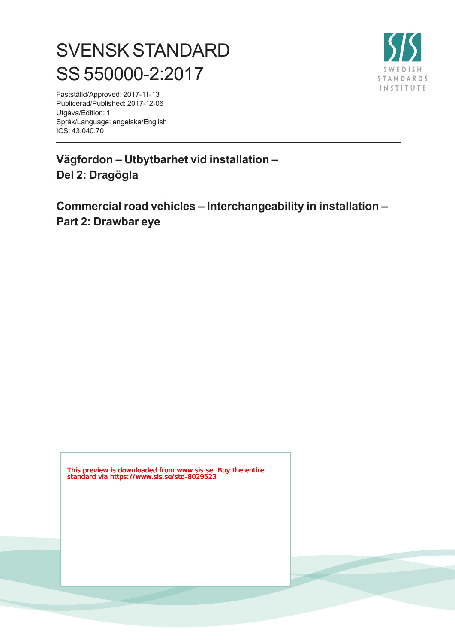# SVENSK STANDARD SS 550000-2:2017



Fastställd/Approved: 2017-11-13 Publicerad/Published: 2017-12-06 Utgåva/Edition: 1 Språk/Language: engelska/English ICS: 43.040.70

**Vägfordon – Utbytbarhet vid installation – Del 2: Dragögla**

**Commercial road vehicles – Interchangeability in installation – Part 2: Drawbar eye**

This preview is downloaded from www.sis.se. Buy the entire standard via https://www.sis.se/std-8029523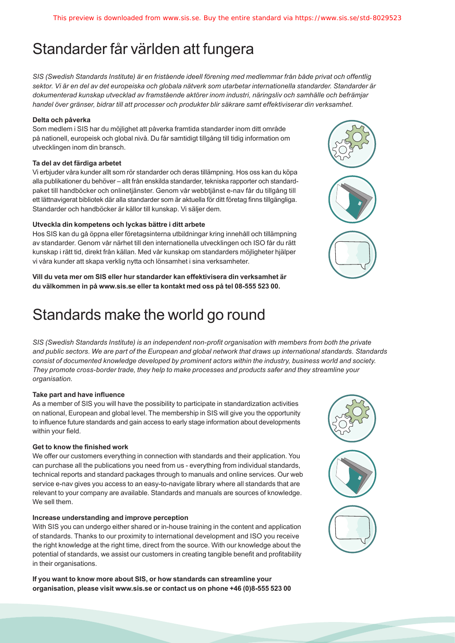# Standarder får världen att fungera

*SIS (Swedish Standards Institute) är en fristående ideell förening med medlemmar från både privat och offentlig sektor. Vi är en del av det europeiska och globala nätverk som utarbetar internationella standarder. Standarder är dokumenterad kunskap utvecklad av framstående aktörer inom industri, näringsliv och samhälle och befrämjar handel över gränser, bidrar till att processer och produkter blir säkrare samt effektiviserar din verksamhet.* 

#### **Delta och påverka**

Som medlem i SIS har du möjlighet att påverka framtida standarder inom ditt område på nationell, europeisk och global nivå. Du får samtidigt tillgång till tidig information om utvecklingen inom din bransch.

#### **Ta del av det färdiga arbetet**

Vi erbjuder våra kunder allt som rör standarder och deras tillämpning. Hos oss kan du köpa alla publikationer du behöver – allt från enskilda standarder, tekniska rapporter och standardpaket till handböcker och onlinetjänster. Genom vår webbtjänst e-nav får du tillgång till ett lättnavigerat bibliotek där alla standarder som är aktuella för ditt företag finns tillgängliga. Standarder och handböcker är källor till kunskap. Vi säljer dem.

#### **Utveckla din kompetens och lyckas bättre i ditt arbete**

Hos SIS kan du gå öppna eller företagsinterna utbildningar kring innehåll och tillämpning av standarder. Genom vår närhet till den internationella utvecklingen och ISO får du rätt kunskap i rätt tid, direkt från källan. Med vår kunskap om standarders möjligheter hjälper vi våra kunder att skapa verklig nytta och lönsamhet i sina verksamheter.

**Vill du veta mer om SIS eller hur standarder kan effektivisera din verksamhet är du välkommen in på www.sis.se eller ta kontakt med oss på tel 08-555 523 00.**

# Standards make the world go round

*SIS (Swedish Standards Institute) is an independent non-profit organisation with members from both the private and public sectors. We are part of the European and global network that draws up international standards. Standards consist of documented knowledge developed by prominent actors within the industry, business world and society. They promote cross-border trade, they help to make processes and products safer and they streamline your organisation.*

#### **Take part and have influence**

As a member of SIS you will have the possibility to participate in standardization activities on national, European and global level. The membership in SIS will give you the opportunity to influence future standards and gain access to early stage information about developments within your field.

#### **Get to know the finished work**

We offer our customers everything in connection with standards and their application. You can purchase all the publications you need from us - everything from individual standards, technical reports and standard packages through to manuals and online services. Our web service e-nav gives you access to an easy-to-navigate library where all standards that are relevant to your company are available. Standards and manuals are sources of knowledge. We sell them.

#### **Increase understanding and improve perception**

With SIS you can undergo either shared or in-house training in the content and application of standards. Thanks to our proximity to international development and ISO you receive the right knowledge at the right time, direct from the source. With our knowledge about the potential of standards, we assist our customers in creating tangible benefit and profitability in their organisations.

**If you want to know more about SIS, or how standards can streamline your organisation, please visit www.sis.se or contact us on phone +46 (0)8-555 523 00**



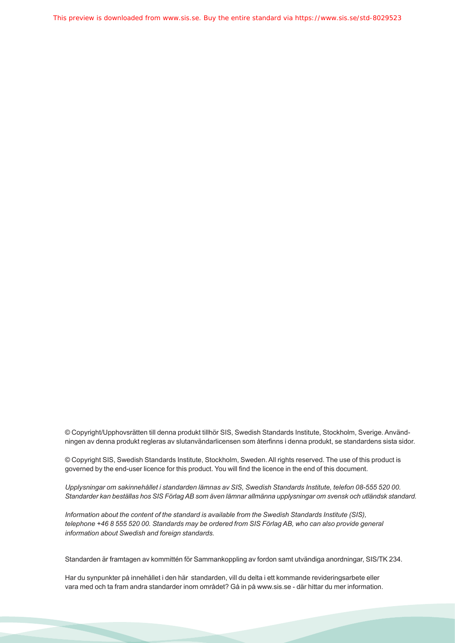This preview is downloaded from www.sis.se. Buy the entire standard via https://www.sis.se/std-8029523

© Copyright/Upphovsrätten till denna produkt tillhör SIS, Swedish Standards Institute, Stockholm, Sverige. Användningen av denna produkt regleras av slutanvändarlicensen som återfinns i denna produkt, se standardens sista sidor.

© Copyright SIS, Swedish Standards Institute, Stockholm, Sweden. All rights reserved. The use of this product is governed by the end-user licence for this product. You will find the licence in the end of this document.

*Upplysningar om sakinnehållet i standarden lämnas av SIS, Swedish Standards Institute, telefon 08-555 520 00. Standarder kan beställas hos SIS Förlag AB som även lämnar allmänna upplysningar om svensk och utländsk standard.*

*Information about the content of the standard is available from the Swedish Standards Institute (SIS), telephone +46 8 555 520 00. Standards may be ordered from SIS Förlag AB, who can also provide general information about Swedish and foreign standards.*

Standarden är framtagen av kommittén för Sammankoppling av fordon samt utvändiga anordningar, SIS/TK 234.

Har du synpunkter på innehållet i den här standarden, vill du delta i ett kommande revideringsarbete eller vara med och ta fram andra standarder inom området? Gå in på www.sis.se - där hittar du mer information.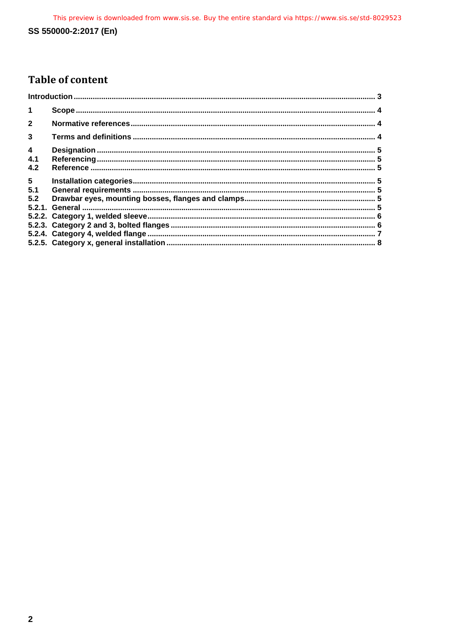# SS 550000-2:2017 (En)

# **Table of content**

| $\blacktriangleleft$ |  |  |
|----------------------|--|--|
| $\overline{2}$       |  |  |
| $\mathbf{3}$         |  |  |
| $\overline{4}$       |  |  |
| 4.1                  |  |  |
| 4.2                  |  |  |
| 5 <sub>5</sub>       |  |  |
| 5.1                  |  |  |
| 5.2                  |  |  |
|                      |  |  |
|                      |  |  |
|                      |  |  |
|                      |  |  |
|                      |  |  |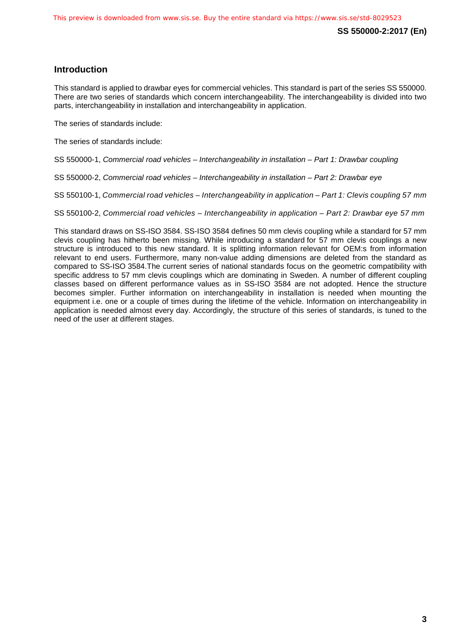# <span id="page-4-0"></span>**Introduction**

This standard is applied to drawbar eyes for commercial vehicles. This standard is part of the series SS 550000. There are two series of standards which concern interchangeability. The interchangeability is divided into two parts, interchangeability in installation and interchangeability in application.

The series of standards include:

The series of standards include:

SS 550000-1, *Commercial road vehicles – Interchangeability in installation – Part 1: Drawbar coupling*

SS 550000-2, *Commercial road vehicles – Interchangeability in installation – Part 2: Drawbar eye*

SS 550100-1, *Commercial road vehicles – Interchangeability in application – Part 1: Clevis coupling 57 mm*

SS 550100-2, *Commercial road vehicles – Interchangeability in application – Part 2: Drawbar eye 57 mm*

This standard draws on SS-ISO 3584. SS-ISO 3584 defines 50 mm clevis coupling while a standard for 57 mm clevis coupling has hitherto been missing. While introducing a standard for 57 mm clevis couplings a new structure is introduced to this new standard. It is splitting information relevant for OEM:s from information relevant to end users. Furthermore, many non-value adding dimensions are deleted from the standard as compared to SS-ISO 3584.The current series of national standards focus on the geometric compatibility with specific address to 57 mm clevis couplings which are dominating in Sweden. A number of different coupling classes based on different performance values as in SS-ISO 3584 are not adopted. Hence the structure becomes simpler. Further information on interchangeability in installation is needed when mounting the equipment i.e. one or a couple of times during the lifetime of the vehicle. Information on interchangeability in application is needed almost every day. Accordingly, the structure of this series of standards, is tuned to the need of the user at different stages.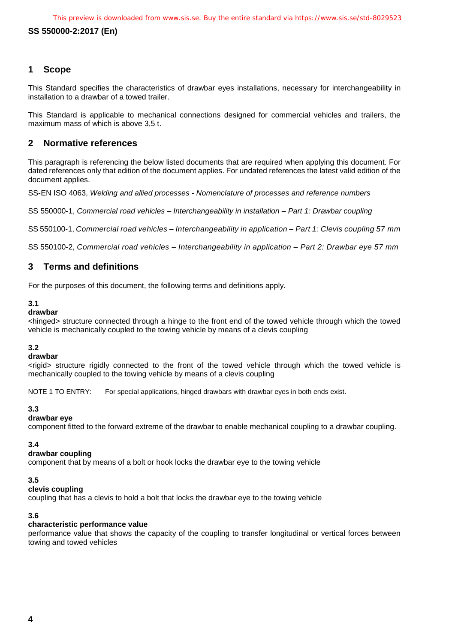## **SS 550000-2:2017 (En)**

# <span id="page-5-0"></span>**1 Scope**

This Standard specifies the characteristics of drawbar eyes installations, necessary for interchangeability in installation to a drawbar of a towed trailer.

This Standard is applicable to mechanical connections designed for commercial vehicles and trailers, the maximum mass of which is above 3,5 t.

#### <span id="page-5-1"></span>**2 Normative references**

This paragraph is referencing the below listed documents that are required when applying this document. For dated references only that edition of the document applies. For undated references the latest valid edition of the document applies.

SS-EN ISO 4063, *Welding and allied processes - Nomenclature of processes and reference numbers*

SS 550000-1, *Commercial road vehicles – Interchangeability in installation – Part 1: Drawbar coupling*

SS 550100-1, *Commercial road vehicles – Interchangeability in application – Part 1: Clevis coupling 57 mm*

SS 550100-2, *Commercial road vehicles – Interchangeability in application – Part 2: Drawbar eye 57 mm*

# <span id="page-5-2"></span>**3 Terms and definitions**

For the purposes of this document, the following terms and definitions apply.

#### **3.1**

#### **drawbar**

<hinged> structure connected through a hinge to the front end of the towed vehicle through which the towed vehicle is mechanically coupled to the towing vehicle by means of a clevis coupling

#### **3.2**

#### **drawbar**

<rigid> structure rigidly connected to the front of the towed vehicle through which the towed vehicle is mechanically coupled to the towing vehicle by means of a clevis coupling

NOTE 1 TO ENTRY: For special applications, hinged drawbars with drawbar eyes in both ends exist.

#### **3.3**

#### **drawbar eye**

component fitted to the forward extreme of the drawbar to enable mechanical coupling to a drawbar coupling.

#### **3.4**

#### **drawbar coupling**

component that by means of a bolt or hook locks the drawbar eye to the towing vehicle

#### **3.5**

#### **clevis coupling**

coupling that has a clevis to hold a bolt that locks the drawbar eye to the towing vehicle

#### **3.6**

#### **characteristic performance value**

performance value that shows the capacity of the coupling to transfer longitudinal or vertical forces between towing and towed vehicles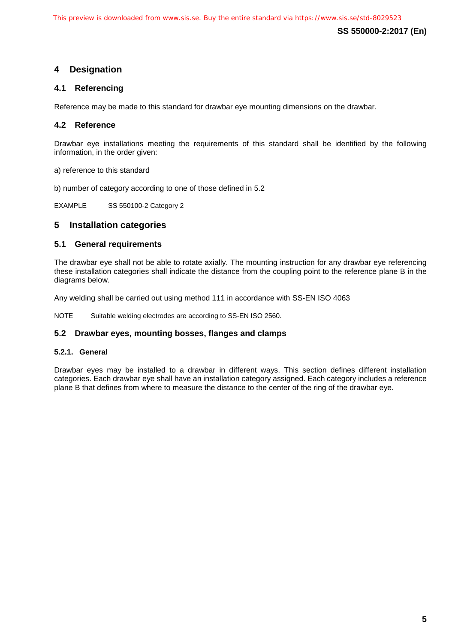**SS 550000-2:2017 (En)**

# <span id="page-6-0"></span>**4 Designation**

# <span id="page-6-1"></span>**4.1 Referencing**

Reference may be made to this standard for drawbar eye mounting dimensions on the drawbar.

# <span id="page-6-2"></span>**4.2 Reference**

Drawbar eye installations meeting the requirements of this standard shall be identified by the following information, in the order given:

a) reference to this standard

b) number of category according to one of those defined in 5.2

EXAMPLE SS 550100-2 Category 2

# <span id="page-6-3"></span>**5 Installation categories**

#### <span id="page-6-4"></span>**5.1 General requirements**

The drawbar eye shall not be able to rotate axially. The mounting instruction for any drawbar eye referencing these installation categories shall indicate the distance from the coupling point to the reference plane B in the diagrams below.

Any welding shall be carried out using method 111 in accordance with SS-EN ISO 4063

NOTE Suitable welding electrodes are according to SS-EN ISO 2560.

#### <span id="page-6-5"></span>**5.2 Drawbar eyes, mounting bosses, flanges and clamps**

#### <span id="page-6-6"></span>**5.2.1. General**

Drawbar eyes may be installed to a drawbar in different ways. This section defines different installation categories. Each drawbar eye shall have an installation category assigned. Each category includes a reference plane B that defines from where to measure the distance to the center of the ring of the drawbar eye.